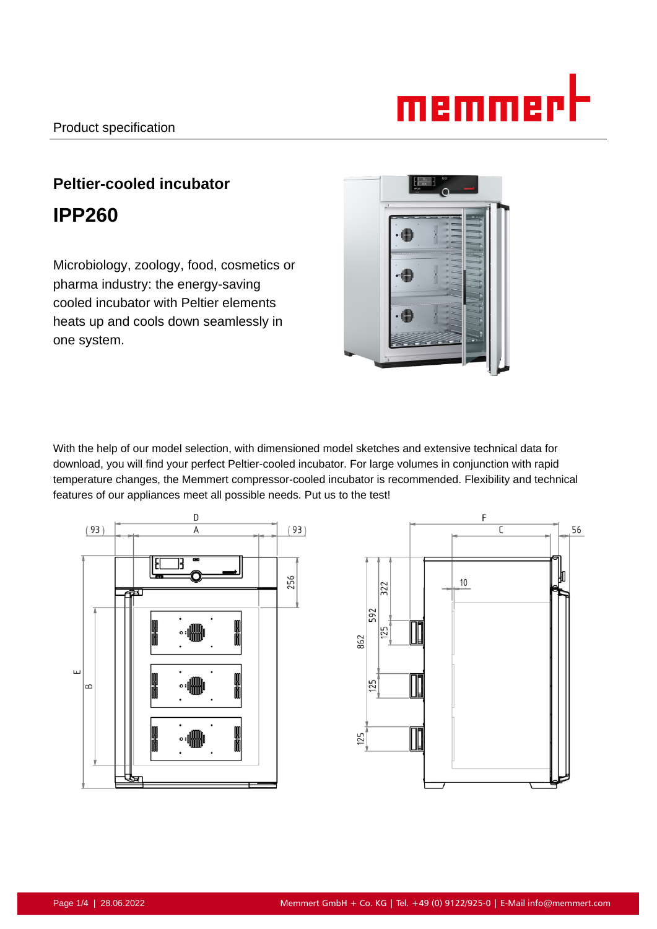# memmert

# **Peltier-cooled incubator IPP260**

Microbiology, zoology, food, cosmetics or pharma industry: the energy-saving cooled incubator with Peltier elements heats up and cools down seamlessly in one system.



With the help of our model selection, with dimensioned model sketches and extensive technical data for download, you will find your perfect Peltier-cooled incubator. For large volumes in conjunction with rapid temperature changes, the Memmert compressor-cooled incubator is recommended. Flexibility and technical features of our appliances meet all possible needs. Put us to the test!



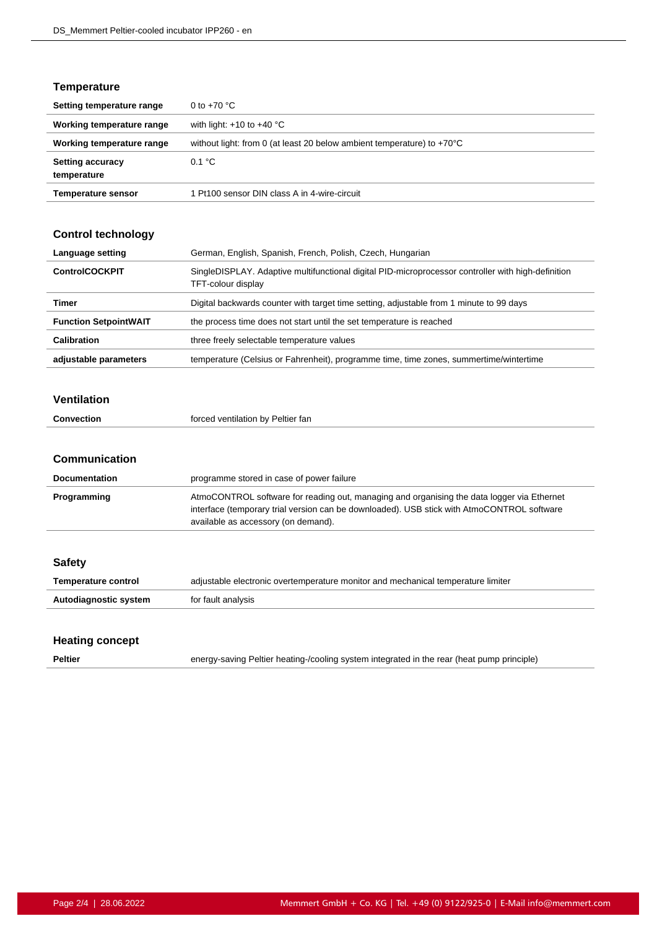#### **Temperature**

| Setting temperature range              | 0 to $+70$ °C                                                                    |
|----------------------------------------|----------------------------------------------------------------------------------|
| Working temperature range              | with light: $+10$ to $+40$ °C                                                    |
| Working temperature range              | without light: from 0 (at least 20 below ambient temperature) to $+70^{\circ}$ C |
| <b>Setting accuracy</b><br>temperature | 0.1 °C                                                                           |
| <b>Temperature sensor</b>              | 1 Pt100 sensor DIN class A in 4-wire-circuit                                     |

#### **Control technology**

| Language setting             | German, English, Spanish, French, Polish, Czech, Hungarian                                                               |
|------------------------------|--------------------------------------------------------------------------------------------------------------------------|
| <b>ControlCOCKPIT</b>        | SingleDISPLAY. Adaptive multifunctional digital PID-microprocessor controller with high-definition<br>TFT-colour display |
| Timer                        | Digital backwards counter with target time setting, adjustable from 1 minute to 99 days                                  |
| <b>Function SetpointWAIT</b> | the process time does not start until the set temperature is reached                                                     |
| Calibration                  | three freely selectable temperature values                                                                               |
| adjustable parameters        | temperature (Celsius or Fahrenheit), programme time, time zones, summertime/wintertime                                   |

#### **Ventilation**

| <b>Convection</b> | forced ventilation by Peltier fan |
|-------------------|-----------------------------------|
|                   |                                   |

#### **Communication**

| <b>Documentation</b> | programme stored in case of power failure                                                                                                                                                                                       |
|----------------------|---------------------------------------------------------------------------------------------------------------------------------------------------------------------------------------------------------------------------------|
| Programming          | AtmoCONTROL software for reading out, managing and organising the data logger via Ethernet<br>interface (temporary trial version can be downloaded). USB stick with AtmoCONTROL software<br>available as accessory (on demand). |

| <b>Safety</b>         |                                                                                  |
|-----------------------|----------------------------------------------------------------------------------|
| Temperature control   | adjustable electronic overtemperature monitor and mechanical temperature limiter |
| Autodiagnostic system | for fault analysis                                                               |
|                       |                                                                                  |

#### **Heating concept**

**Peltier** energy-saving Peltier heating-/cooling system integrated in the rear (heat pump principle)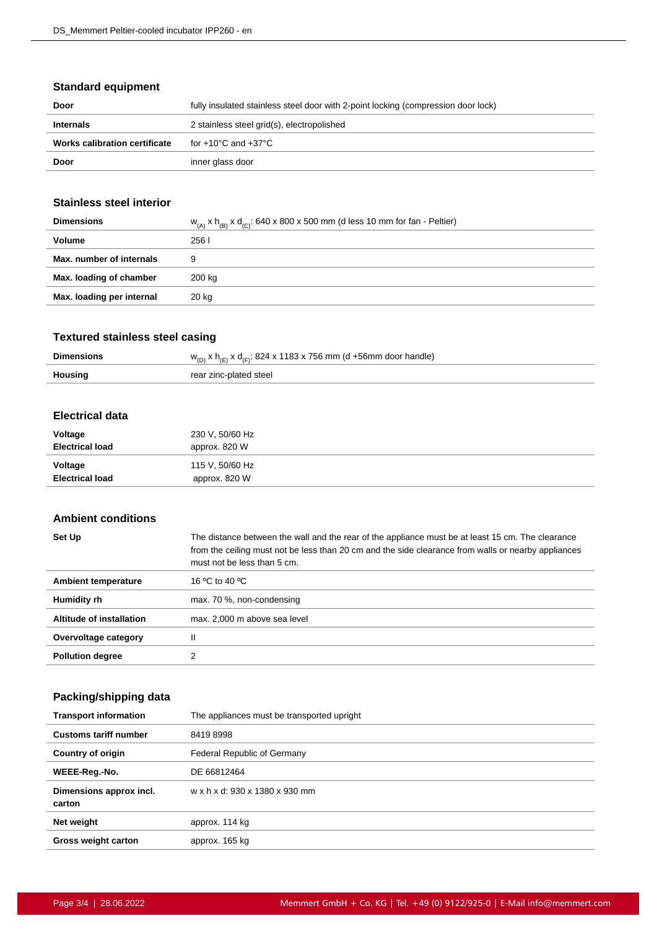#### **Standard equipment**

| Door                                 | fully insulated stainless steel door with 2-point locking (compression door lock) |
|--------------------------------------|-----------------------------------------------------------------------------------|
| <b>Internals</b>                     | 2 stainless steel grid(s), electropolished                                        |
| <b>Works calibration certificate</b> | for +10°C and +37°C                                                               |
| Door                                 | inner glass door                                                                  |

#### **Stainless steel interior**

| <b>Dimensions</b>         | $w_{(A)}$ x $h_{(B)}$ x $d_{(C)}$ : 640 x 800 x 500 mm (d less 10 mm for fan - Peltier) |
|---------------------------|-----------------------------------------------------------------------------------------|
| Volume                    | 2561                                                                                    |
| Max. number of internals  | 9                                                                                       |
| Max. loading of chamber   | 200 kg                                                                                  |
| Max. loading per internal | 20 kg                                                                                   |
|                           |                                                                                         |

### **Textured stainless steel casing**

| <b>Dimensions</b> | $w_{(D)}$ x h <sub>(E)</sub> x d <sub>(F)</sub> : 824 x 1183 x 756 mm (d +56mm door handle) |
|-------------------|---------------------------------------------------------------------------------------------|
| Housing           | rear zinc-plated steel                                                                      |

#### **Electrical data**

| Voltage                | 230 V, 50/60 Hz |
|------------------------|-----------------|
| <b>Electrical load</b> | approx. 820 W   |
| Voltage                | 115 V, 50/60 Hz |
| <b>Electrical load</b> | approx. 820 W   |

#### **Ambient conditions**

| Set Up                     | The distance between the wall and the rear of the appliance must be at least 15 cm. The clearance<br>from the ceiling must not be less than 20 cm and the side clearance from walls or nearby appliances<br>must not be less than 5 cm. |
|----------------------------|-----------------------------------------------------------------------------------------------------------------------------------------------------------------------------------------------------------------------------------------|
| <b>Ambient temperature</b> | 16 $\mathrm{^0C}$ to 40 $\mathrm{^0C}$                                                                                                                                                                                                  |
| Humidity rh                | max. 70 %, non-condensing                                                                                                                                                                                                               |
| Altitude of installation   | max. 2,000 m above sea level                                                                                                                                                                                                            |
| Overvoltage category       | Ш                                                                                                                                                                                                                                       |
| <b>Pollution degree</b>    | っ                                                                                                                                                                                                                                       |

## **Packing/shipping data**

| <b>Transport information</b>      | The appliances must be transported upright |
|-----------------------------------|--------------------------------------------|
| <b>Customs tariff number</b>      | 84198998                                   |
| <b>Country of origin</b>          | Federal Republic of Germany                |
| WEEE-Reg.-No.                     | DE 66812464                                |
| Dimensions approx incl.<br>carton | w x h x d: 930 x 1380 x 930 mm             |
| Net weight                        | approx. 114 kg                             |
| <b>Gross weight carton</b>        | approx. 165 kg                             |